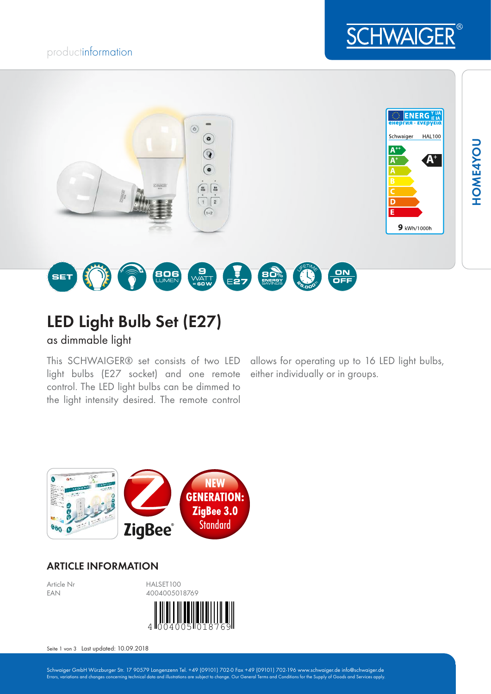# productinformation





# LED Light Bulb Set (E27)

as dimmable light

This SCHWAIGER® set consists of two LED light bulbs (E27 socket) and one remote control. The LED light bulbs can be dimmed to the light intensity desired. The remote control

allows for operating up to 16 LED light bulbs, either individually or in groups.



## ARTICLE INFORMATION



Seite 1 von 3 Last updated: 10.09.2018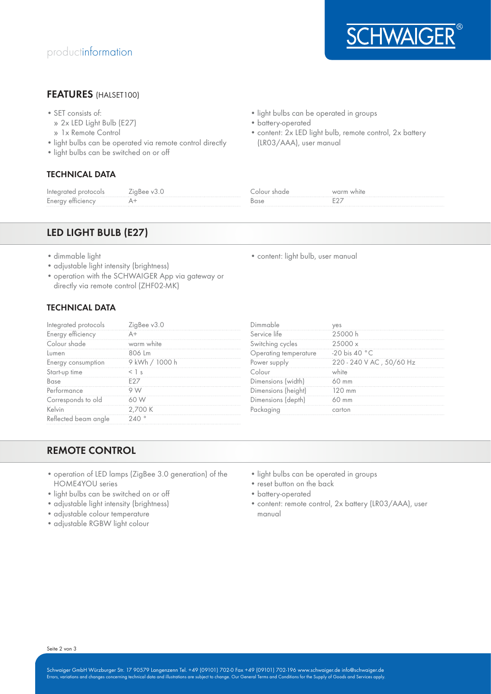

## FEATURES (HALSET100)

- SET consists of:
- » 2x LED Light Bulb (E27)
- » 1x Remote Control
- light bulbs can be operated via remote control directly
- light bulbs can be switched on or off

### TECHNICAL DATA

• light bulbs can be operated in groups

• content: light bulb, user manual

- battery-operated
- content: 2x LED light bulb, remote control, 2x battery (LR03/AAA), user manual

| Infe | uuc | ا تا ا⊥ ہ |
|------|-----|-----------|
| -    |     | --        |

## LED LIGHT BULB (E27)

- dimmable light
- adjustable light intensity (brightness)
- operation with the SCHWAIGER App via gateway or directly via remote control (ZHF02-MK)

#### TECHNICAL DATA

|     | arvice lite |  |
|-----|-------------|--|
|     |             |  |
|     | iture       |  |
|     |             |  |
|     |             |  |
|     |             |  |
| nce |             |  |
|     |             |  |
|     |             |  |
|     |             |  |

## REMOTE CONTROL

- operation of LED lamps (ZigBee 3.0 generation) of the HOME4YOU series
- light bulbs can be switched on or off
- adjustable light intensity (brightness)
- adjustable colour temperature
- adjustable RGBW light colour
- light bulbs can be operated in groups
- reset button on the back
- battery-operated
- content: remote control, 2x battery (LR03/AAA), user manual